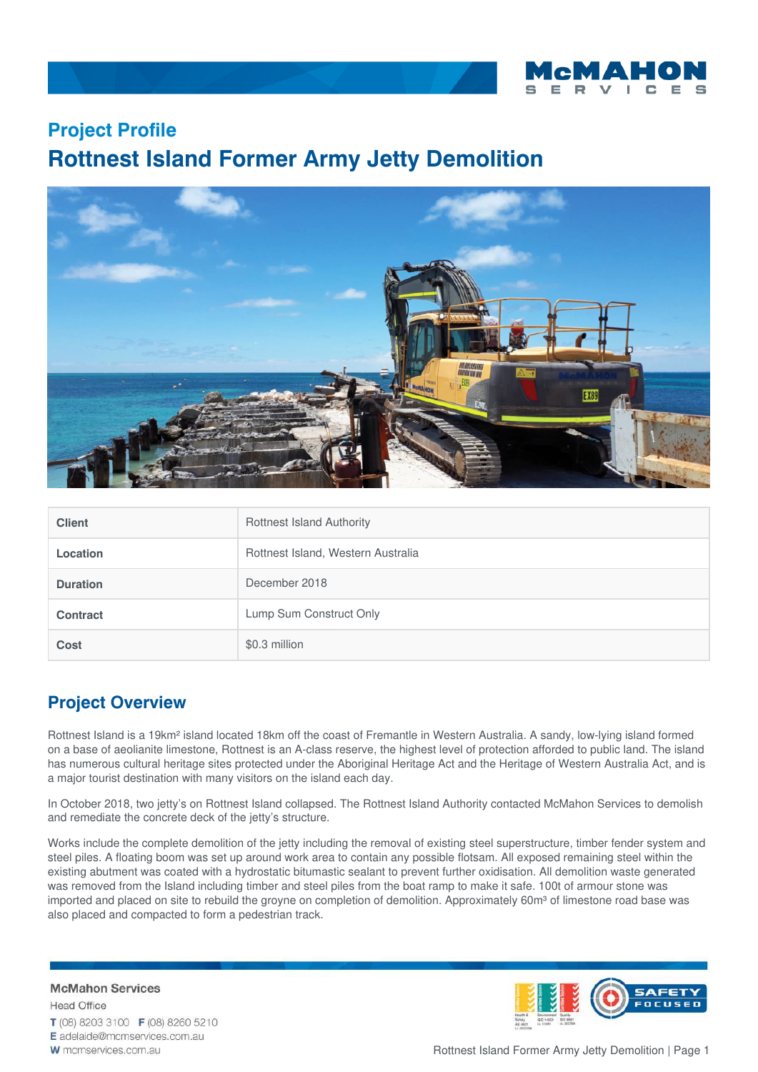

## **Project Profile Rottnest Island Former Army Jetty Demolition**



| <b>Client</b>   | <b>Rottnest Island Authority</b>   |
|-----------------|------------------------------------|
| <b>Location</b> | Rottnest Island, Western Australia |
| <b>Duration</b> | December 2018                      |
| Contract        | Lump Sum Construct Only            |
| Cost            | \$0.3 million                      |

## **Project Overview**

Rottnest Island is a 19km² island located 18km off the coast of Fremantle in Western Australia. A sandy, low-lying island formed on a base of aeolianite limestone, Rottnest is an A-class reserve, the highest level of protection afforded to public land. The island has numerous cultural heritage sites protected under the Aboriginal Heritage Act and the Heritage of Western Australia Act, and is a major tourist destination with many visitors on the island each day.

In October 2018, two jetty's on Rottnest Island collapsed. The Rottnest Island Authority contacted McMahon Services to demolish and remediate the concrete deck of the jetty's structure.

Works include the complete demolition of the jetty including the removal of existing steel superstructure, timber fender system and steel piles. A floating boom was set up around work area to contain any possible flotsam. All exposed remaining steel within the existing abutment was coated with a hydrostatic bitumastic sealant to prevent further oxidisation. All demolition waste generated was removed from the Island including timber and steel piles from the boat ramp to make it safe. 100t of armour stone was imported and placed on site to rebuild the groyne on completion of demolition. Approximately 60m<sup>3</sup> of limestone road base was also placed and compacted to form a pedestrian track.

**McMahon Services Head Office** T (08) 8203 3100 F (08) 8260 5210 E adelaide@mcmservices.com.au W mcmservices.com.au